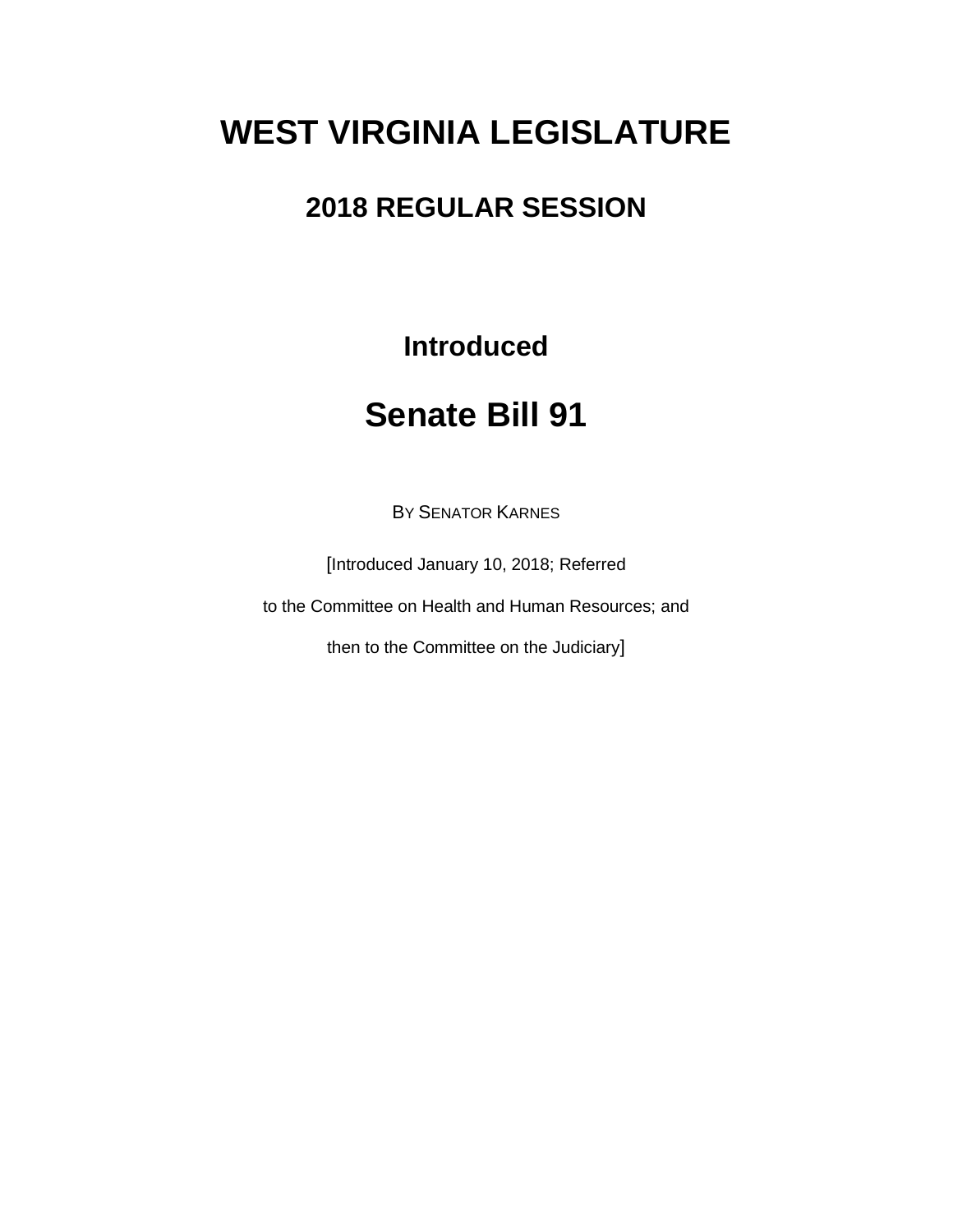# **WEST VIRGINIA LEGISLATURE**

### **2018 REGULAR SESSION**

**Introduced**

## **Senate Bill 91**

BY SENATOR KARNES

[Introduced January 10, 2018; Referred

to the Committee on Health and Human Resources; and

then to the Committee on the Judiciary]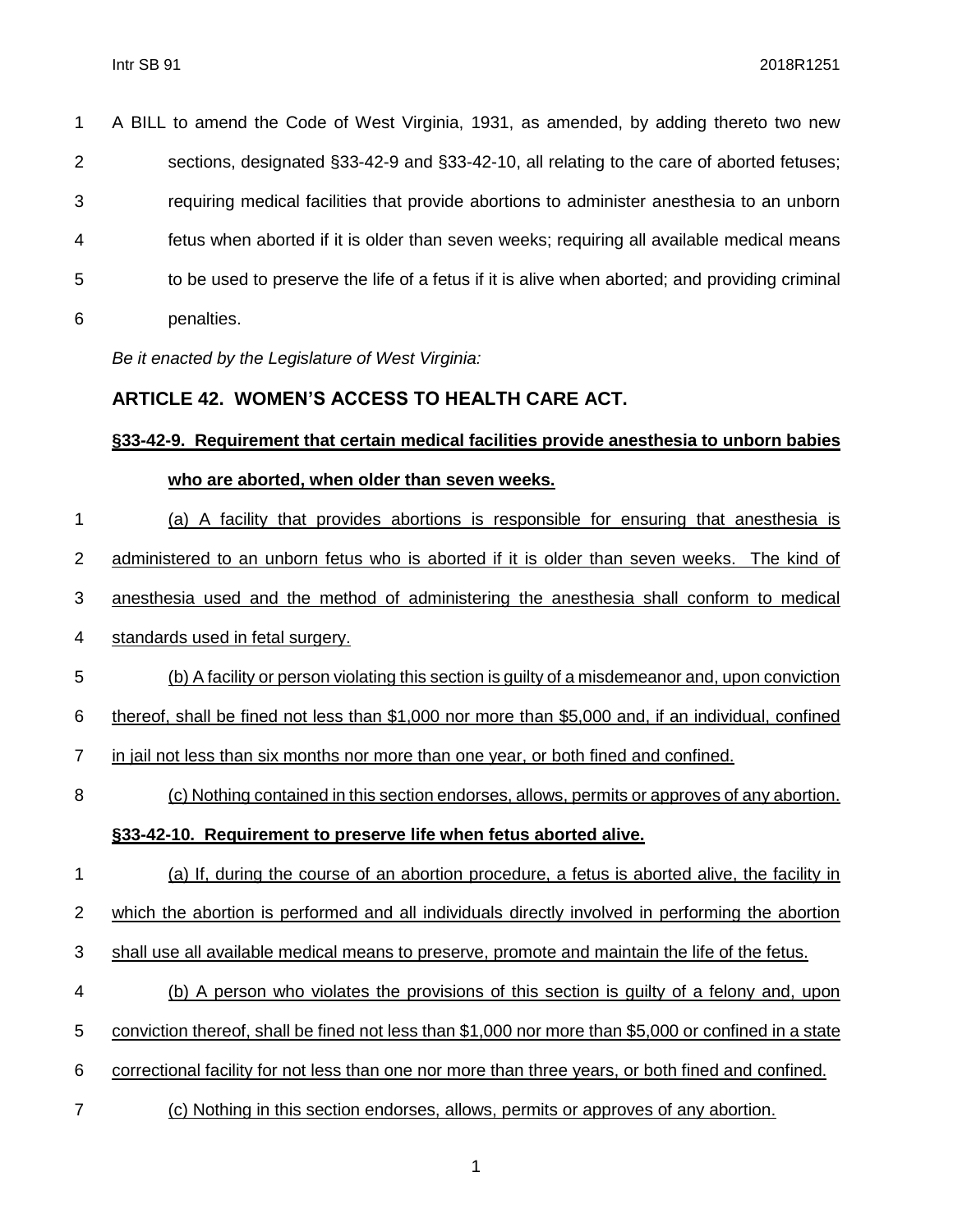| $\mathbf 1$    | A BILL to amend the Code of West Virginia, 1931, as amended, by adding thereto two new         |
|----------------|------------------------------------------------------------------------------------------------|
| 2              | sections, designated §33-42-9 and §33-42-10, all relating to the care of aborted fetuses;      |
| 3              | requiring medical facilities that provide abortions to administer anesthesia to an unborn      |
| $\overline{4}$ | fetus when aborted if it is older than seven weeks; requiring all available medical means      |
| 5              | to be used to preserve the life of a fetus if it is alive when aborted; and providing criminal |
| 6              | penalties.                                                                                     |

*Be it enacted by the Legislature of West Virginia:*

#### **ARTICLE 42. WOMEN'S ACCESS TO HEALTH CARE ACT.**

#### **§33-42-9. Requirement that certain medical facilities provide anesthesia to unborn babies who are aborted, when older than seven weeks.**

 (a) A facility that provides abortions is responsible for ensuring that anesthesia is administered to an unborn fetus who is aborted if it is older than seven weeks. The kind of anesthesia used and the method of administering the anesthesia shall conform to medical standards used in fetal surgery. (b) A facility or person violating this section is guilty of a misdemeanor and, upon conviction thereof, shall be fined not less than \$1,000 nor more than \$5,000 and, if an individual, confined in jail not less than six months nor more than one year, or both fined and confined. (c) Nothing contained in this section endorses, allows, permits or approves of any abortion. **§33-42-10. Requirement to preserve life when fetus aborted alive.** (a) If, during the course of an abortion procedure, a fetus is aborted alive, the facility in

which the abortion is performed and all individuals directly involved in performing the abortion

- shall use all available medical means to preserve, promote and maintain the life of the fetus.
- (b) A person who violates the provisions of this section is guilty of a felony and, upon
- conviction thereof, shall be fined not less than \$1,000 nor more than \$5,000 or confined in a state
- correctional facility for not less than one nor more than three years, or both fined and confined.
- (c) Nothing in this section endorses, allows, permits or approves of any abortion.